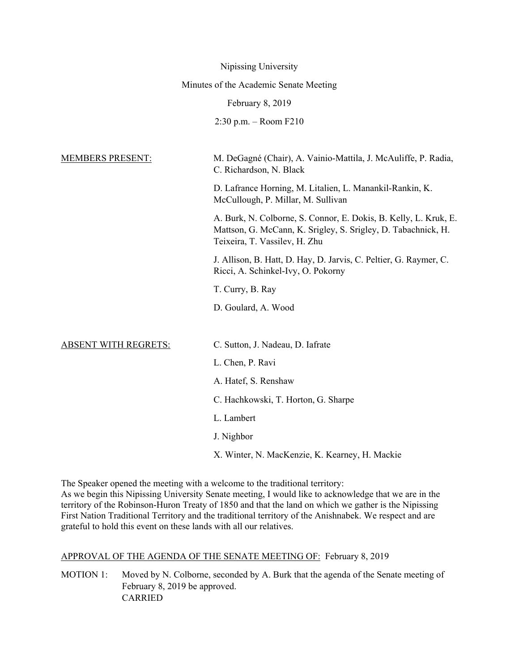|                                        | Nipissing University                                                                                                                                               |
|----------------------------------------|--------------------------------------------------------------------------------------------------------------------------------------------------------------------|
| Minutes of the Academic Senate Meeting |                                                                                                                                                                    |
| February 8, 2019                       |                                                                                                                                                                    |
|                                        | $2:30$ p.m. – Room $F210$                                                                                                                                          |
|                                        |                                                                                                                                                                    |
| MEMBERS PRESENT:                       | M. DeGagné (Chair), A. Vainio-Mattila, J. McAuliffe, P. Radia,<br>C. Richardson, N. Black                                                                          |
|                                        | D. Lafrance Horning, M. Litalien, L. Manankil-Rankin, K.<br>McCullough, P. Millar, M. Sullivan                                                                     |
|                                        | A. Burk, N. Colborne, S. Connor, E. Dokis, B. Kelly, L. Kruk, E.<br>Mattson, G. McCann, K. Srigley, S. Srigley, D. Tabachnick, H.<br>Teixeira, T. Vassilev, H. Zhu |
|                                        | J. Allison, B. Hatt, D. Hay, D. Jarvis, C. Peltier, G. Raymer, C.<br>Ricci, A. Schinkel-Ivy, O. Pokorny                                                            |
|                                        | T. Curry, B. Ray                                                                                                                                                   |
|                                        | D. Goulard, A. Wood                                                                                                                                                |
|                                        |                                                                                                                                                                    |
| <b>ABSENT WITH REGRETS:</b>            | C. Sutton, J. Nadeau, D. Iafrate                                                                                                                                   |
|                                        | L. Chen, P. Ravi                                                                                                                                                   |
|                                        | A. Hatef, S. Renshaw                                                                                                                                               |
|                                        | C. Hachkowski, T. Horton, G. Sharpe                                                                                                                                |
|                                        | L. Lambert                                                                                                                                                         |
|                                        | J. Nighbor                                                                                                                                                         |

X. Winter, N. MacKenzie, K. Kearney, H. Mackie

The Speaker opened the meeting with a welcome to the traditional territory: As we begin this Nipissing University Senate meeting, I would like to acknowledge that we are in the territory of the Robinson-Huron Treaty of 1850 and that the land on which we gather is the Nipissing First Nation Traditional Territory and the traditional territory of the Anishnabek. We respect and are grateful to hold this event on these lands with all our relatives.

#### APPROVAL OF THE AGENDA OF THE SENATE MEETING OF: February 8, 2019

MOTION 1: Moved by N. Colborne, seconded by A. Burk that the agenda of the Senate meeting of February 8, 2019 be approved. CARRIED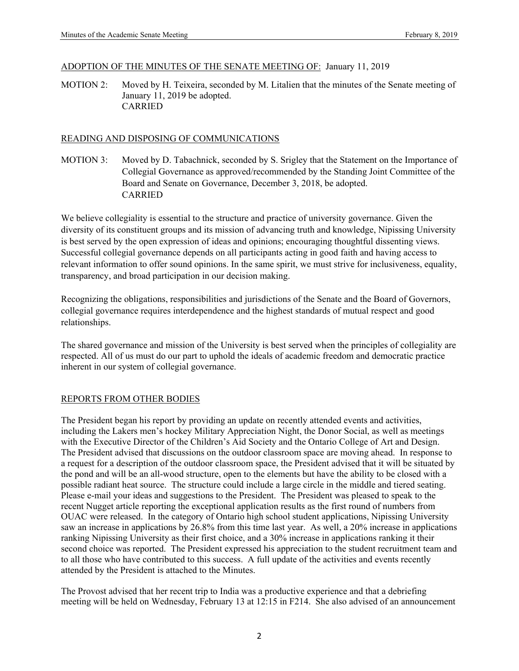#### ADOPTION OF THE MINUTES OF THE SENATE MEETING OF: January 11, 2019

MOTION 2: Moved by H. Teixeira, seconded by M. Litalien that the minutes of the Senate meeting of January 11, 2019 be adopted. CARRIED

#### READING AND DISPOSING OF COMMUNICATIONS

MOTION 3: Moved by D. Tabachnick, seconded by S. Srigley that the Statement on the Importance of Collegial Governance as approved/recommended by the Standing Joint Committee of the Board and Senate on Governance, December 3, 2018, be adopted. CARRIED

We believe collegiality is essential to the structure and practice of university governance. Given the diversity of its constituent groups and its mission of advancing truth and knowledge, Nipissing University is best served by the open expression of ideas and opinions; encouraging thoughtful dissenting views. Successful collegial governance depends on all participants acting in good faith and having access to relevant information to offer sound opinions. In the same spirit, we must strive for inclusiveness, equality, transparency, and broad participation in our decision making.

Recognizing the obligations, responsibilities and jurisdictions of the Senate and the Board of Governors, collegial governance requires interdependence and the highest standards of mutual respect and good relationships.

The shared governance and mission of the University is best served when the principles of collegiality are respected. All of us must do our part to uphold the ideals of academic freedom and democratic practice inherent in our system of collegial governance.

#### REPORTS FROM OTHER BODIES

The President began his report by providing an update on recently attended events and activities, including the Lakers men's hockey Military Appreciation Night, the Donor Social, as well as meetings with the Executive Director of the Children's Aid Society and the Ontario College of Art and Design. The President advised that discussions on the outdoor classroom space are moving ahead. In response to a request for a description of the outdoor classroom space, the President advised that it will be situated by the pond and will be an all-wood structure, open to the elements but have the ability to be closed with a possible radiant heat source. The structure could include a large circle in the middle and tiered seating. Please e-mail your ideas and suggestions to the President. The President was pleased to speak to the recent Nugget article reporting the exceptional application results as the first round of numbers from OUAC were released. In the category of Ontario high school student applications, Nipissing University saw an increase in applications by 26.8% from this time last year. As well, a 20% increase in applications ranking Nipissing University as their first choice, and a 30% increase in applications ranking it their second choice was reported. The President expressed his appreciation to the student recruitment team and to all those who have contributed to this success. A full update of the activities and events recently attended by the President is attached to the Minutes.

The Provost advised that her recent trip to India was a productive experience and that a debriefing meeting will be held on Wednesday, February 13 at 12:15 in F214. She also advised of an announcement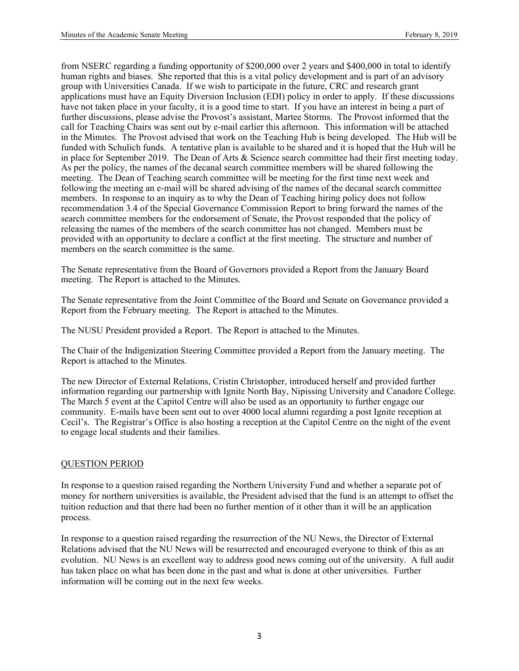from NSERC regarding a funding opportunity of \$200,000 over 2 years and \$400,000 in total to identify human rights and biases. She reported that this is a vital policy development and is part of an advisory group with Universities Canada. If we wish to participate in the future, CRC and research grant applications must have an Equity Diversion Inclusion (EDI) policy in order to apply. If these discussions have not taken place in your faculty, it is a good time to start. If you have an interest in being a part of further discussions, please advise the Provost's assistant, Martee Storms. The Provost informed that the call for Teaching Chairs was sent out by e-mail earlier this afternoon. This information will be attached in the Minutes. The Provost advised that work on the Teaching Hub is being developed. The Hub will be funded with Schulich funds. A tentative plan is available to be shared and it is hoped that the Hub will be in place for September 2019. The Dean of Arts & Science search committee had their first meeting today. As per the policy, the names of the decanal search committee members will be shared following the meeting. The Dean of Teaching search committee will be meeting for the first time next week and following the meeting an e-mail will be shared advising of the names of the decanal search committee members. In response to an inquiry as to why the Dean of Teaching hiring policy does not follow recommendation 3.4 of the Special Governance Commission Report to bring forward the names of the search committee members for the endorsement of Senate, the Provost responded that the policy of releasing the names of the members of the search committee has not changed. Members must be provided with an opportunity to declare a conflict at the first meeting. The structure and number of members on the search committee is the same.

The Senate representative from the Board of Governors provided a Report from the January Board meeting. The Report is attached to the Minutes.

The Senate representative from the Joint Committee of the Board and Senate on Governance provided a Report from the February meeting. The Report is attached to the Minutes.

The NUSU President provided a Report. The Report is attached to the Minutes.

The Chair of the Indigenization Steering Committee provided a Report from the January meeting. The Report is attached to the Minutes.

The new Director of External Relations, Cristin Christopher, introduced herself and provided further information regarding our partnership with Ignite North Bay, Nipissing University and Canadore College. The March 5 event at the Capitol Centre will also be used as an opportunity to further engage our community. E-mails have been sent out to over 4000 local alumni regarding a post Ignite reception at Cecil's. The Registrar's Office is also hosting a reception at the Capitol Centre on the night of the event to engage local students and their families.

#### QUESTION PERIOD

In response to a question raised regarding the Northern University Fund and whether a separate pot of money for northern universities is available, the President advised that the fund is an attempt to offset the tuition reduction and that there had been no further mention of it other than it will be an application process.

In response to a question raised regarding the resurrection of the NU News, the Director of External Relations advised that the NU News will be resurrected and encouraged everyone to think of this as an evolution. NU News is an excellent way to address good news coming out of the university. A full audit has taken place on what has been done in the past and what is done at other universities. Further information will be coming out in the next few weeks.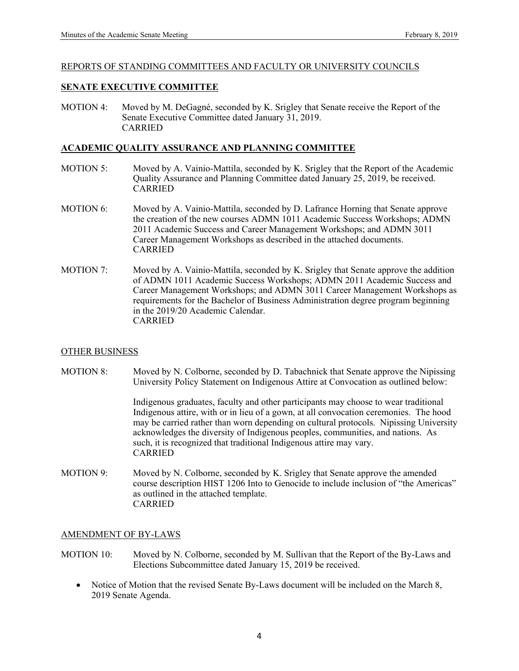#### REPORTS OF STANDING COMMITTEES AND FACULTY OR UNIVERSITY COUNCILS

#### **SENATE EXECUTIVE COMMITTEE**

MOTION 4: Moved by M. DeGagné, seconded by K. Srigley that Senate receive the Report of the Senate Executive Committee dated January 31, 2019. CARRIED

#### **ACADEMIC QUALITY ASSURANCE AND PLANNING COMMITTEE**

- MOTION 5: Moved by A. Vainio-Mattila, seconded by K. Srigley that the Report of the Academic Quality Assurance and Planning Committee dated January 25, 2019, be received. CARRIED
- MOTION 6: Moved by A. Vainio-Mattila, seconded by D. Lafrance Horning that Senate approve the creation of the new courses ADMN 1011 Academic Success Workshops; ADMN 2011 Academic Success and Career Management Workshops; and ADMN 3011 Career Management Workshops as described in the attached documents. CARRIED
- MOTION 7: Moved by A. Vainio-Mattila, seconded by K. Srigley that Senate approve the addition of ADMN 1011 Academic Success Workshops; ADMN 2011 Academic Success and Career Management Workshops; and ADMN 3011 Career Management Workshops as requirements for the Bachelor of Business Administration degree program beginning in the 2019/20 Academic Calendar. CARRIED

#### OTHER BUSINESS

MOTION 8: Moved by N. Colborne, seconded by D. Tabachnick that Senate approve the Nipissing University Policy Statement on Indigenous Attire at Convocation as outlined below:

> Indigenous graduates, faculty and other participants may choose to wear traditional Indigenous attire, with or in lieu of a gown, at all convocation ceremonies. The hood may be carried rather than worn depending on cultural protocols. Nipissing University acknowledges the diversity of Indigenous peoples, communities, and nations. As such, it is recognized that traditional Indigenous attire may vary. CARRIED

MOTION 9: Moved by N. Colborne, seconded by K. Srigley that Senate approve the amended course description HIST 1206 Into to Genocide to include inclusion of "the Americas" as outlined in the attached template. CARRIED

#### AMENDMENT OF BY-LAWS

- MOTION 10: Moved by N. Colborne, seconded by M. Sullivan that the Report of the By-Laws and Elections Subcommittee dated January 15, 2019 be received.
	- Notice of Motion that the revised Senate By-Laws document will be included on the March 8, 2019 Senate Agenda.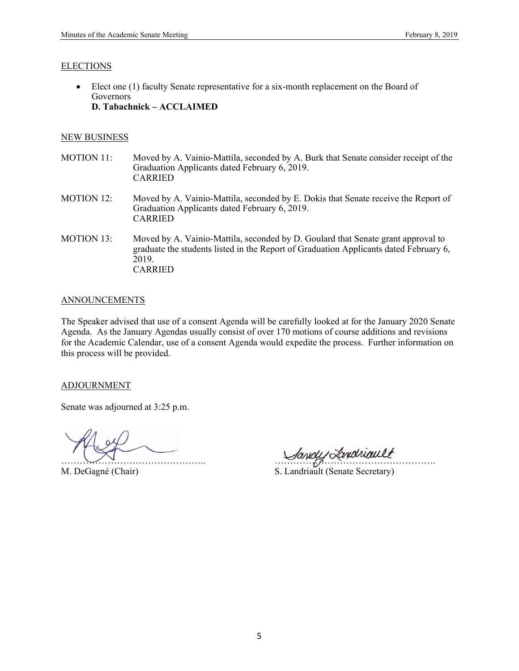#### ELECTIONS

 Elect one (1) faculty Senate representative for a six-month replacement on the Board of Governors **D. Tabachnick – ACCLAIMED** 

#### NEW BUSINESS

- MOTION 11: Moved by A. Vainio-Mattila, seconded by A. Burk that Senate consider receipt of the Graduation Applicants dated February 6, 2019. CARRIED
- MOTION 12: Moved by A. Vainio-Mattila, seconded by E. Dokis that Senate receive the Report of Graduation Applicants dated February 6, 2019. CARRIED
- MOTION 13: Moved by A. Vainio-Mattila, seconded by D. Goulard that Senate grant approval to graduate the students listed in the Report of Graduation Applicants dated February 6, 2019. CARRIED

#### **ANNOUNCEMENTS**

The Speaker advised that use of a consent Agenda will be carefully looked at for the January 2020 Senate Agenda. As the January Agendas usually consist of over 170 motions of course additions and revisions for the Academic Calendar, use of a consent Agenda would expedite the process. Further information on this process will be provided.

#### ADJOURNMENT

Senate was adjourned at 3:25 p.m.

Sandy Londwault

M. DeGagné (Chair) S. Landriault (Senate Secretary)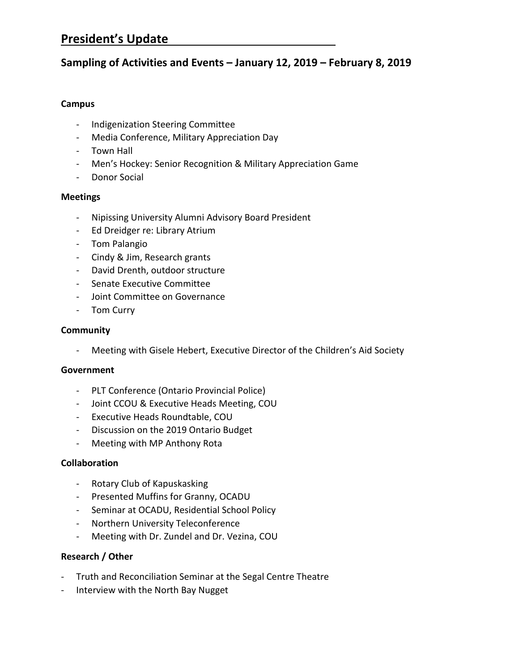# **President's Update**

## **Sampling of Activities and Events – January 12, 2019 – February 8, 2019**

## **Campus**

- Indigenization Steering Committee
- Media Conference, Military Appreciation Day
- Town Hall
- Men's Hockey: Senior Recognition & Military Appreciation Game
- Donor Social

## **Meetings**

- Nipissing University Alumni Advisory Board President
- Ed Dreidger re: Library Atrium
- Tom Palangio
- Cindy & Jim, Research grants
- David Drenth, outdoor structure
- Senate Executive Committee
- Joint Committee on Governance
- Tom Curry

## **Community**

- Meeting with Gisele Hebert, Executive Director of the Children's Aid Society

## **Government**

- PLT Conference (Ontario Provincial Police)
- Joint CCOU & Executive Heads Meeting, COU
- Executive Heads Roundtable, COU
- Discussion on the 2019 Ontario Budget
- Meeting with MP Anthony Rota

## **Collaboration**

- Rotary Club of Kapuskasking
- Presented Muffins for Granny, OCADU
- Seminar at OCADU, Residential School Policy
- Northern University Teleconference
- Meeting with Dr. Zundel and Dr. Vezina, COU

## **Research / Other**

- Truth and Reconciliation Seminar at the Segal Centre Theatre
- Interview with the North Bay Nugget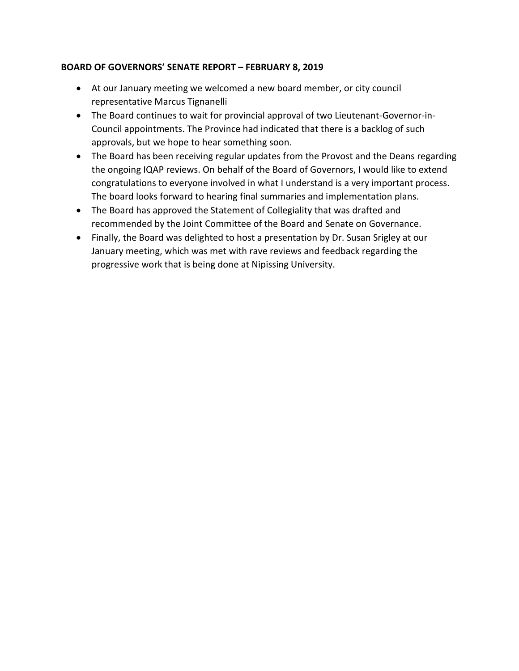## **BOARD OF GOVERNORS' SENATE REPORT – FEBRUARY 8, 2019**

- At our January meeting we welcomed a new board member, or city council representative Marcus Tignanelli
- The Board continues to wait for provincial approval of two Lieutenant-Governor-in-Council appointments. The Province had indicated that there is a backlog of such approvals, but we hope to hear something soon.
- The Board has been receiving regular updates from the Provost and the Deans regarding the ongoing IQAP reviews. On behalf of the Board of Governors, I would like to extend congratulations to everyone involved in what I understand is a very important process. The board looks forward to hearing final summaries and implementation plans.
- The Board has approved the Statement of Collegiality that was drafted and recommended by the Joint Committee of the Board and Senate on Governance.
- Finally, the Board was delighted to host a presentation by Dr. Susan Srigley at our January meeting, which was met with rave reviews and feedback regarding the progressive work that is being done at Nipissing University.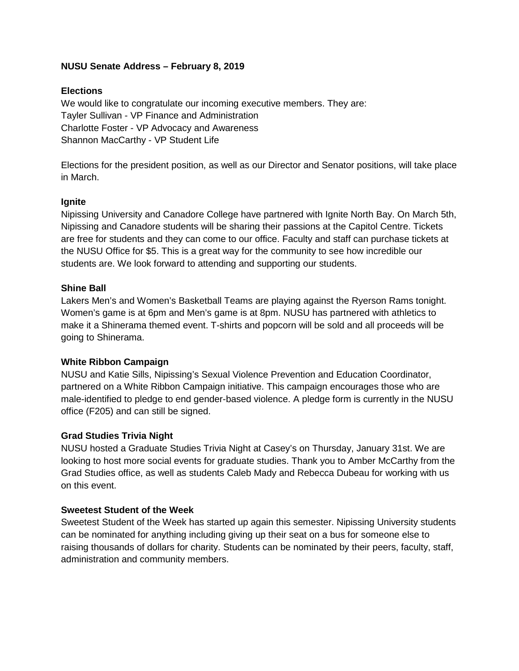## **NUSU Senate Address – February 8, 2019**

## **Elections**

We would like to congratulate our incoming executive members. They are: Tayler Sullivan - VP Finance and Administration Charlotte Foster - VP Advocacy and Awareness Shannon MacCarthy - VP Student Life

Elections for the president position, as well as our Director and Senator positions, will take place in March.

## **Ignite**

Nipissing University and Canadore College have partnered with Ignite North Bay. On March 5th, Nipissing and Canadore students will be sharing their passions at the Capitol Centre. Tickets are free for students and they can come to our office. Faculty and staff can purchase tickets at the NUSU Office for \$5. This is a great way for the community to see how incredible our students are. We look forward to attending and supporting our students.

## **Shine Ball**

Lakers Men's and Women's Basketball Teams are playing against the Ryerson Rams tonight. Women's game is at 6pm and Men's game is at 8pm. NUSU has partnered with athletics to make it a Shinerama themed event. T-shirts and popcorn will be sold and all proceeds will be going to Shinerama.

## **White Ribbon Campaign**

NUSU and Katie Sills, Nipissing's Sexual Violence Prevention and Education Coordinator, partnered on a White Ribbon Campaign initiative. This campaign encourages those who are male-identified to pledge to end gender-based violence. A pledge form is currently in the NUSU office (F205) and can still be signed.

## **Grad Studies Trivia Night**

NUSU hosted a Graduate Studies Trivia Night at Casey's on Thursday, January 31st. We are looking to host more social events for graduate studies. Thank you to Amber McCarthy from the Grad Studies office, as well as students Caleb Mady and Rebecca Dubeau for working with us on this event.

## **Sweetest Student of the Week**

Sweetest Student of the Week has started up again this semester. Nipissing University students can be nominated for anything including giving up their seat on a bus for someone else to raising thousands of dollars for charity. Students can be nominated by their peers, faculty, staff, administration and community members.